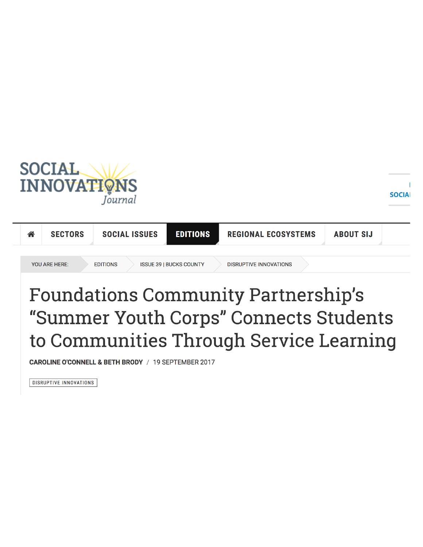



## **Foundations Community Partnership's** "Summer Youth Corps" Connects Students to Communities Through Service Learning

CAROLINE O'CONNELL & BETH BRODY / 19 SEPTEMBER 2017

DISRUPTIVE INNOVATIONS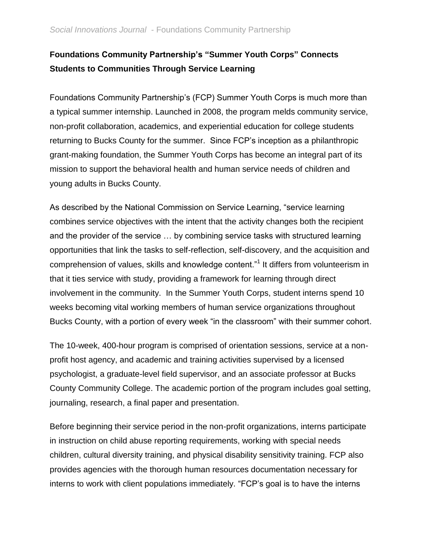## **Foundations Community Partnership's "Summer Youth Corps" Connects Students to Communities Through Service Learning**

Foundations Community Partnership's (FCP) Summer Youth Corps is much more than a typical summer internship. Launched in 2008, the program melds community service, non-profit collaboration, academics, and experiential education for college students returning to Bucks County for the summer. Since FCP's inception as a philanthropic grant-making foundation, the Summer Youth Corps has become an integral part of its mission to support the behavioral health and human service needs of children and young adults in Bucks County.

As described by the National Commission on Service Learning, "service learning combines service objectives with the intent that the activity changes both the recipient and the provider of the service … by combining service tasks with structured learning opportunities that link the tasks to self-reflection, self-discovery, and the acquisition and comprehension of values, skills and knowledge content."<sup>1</sup> It differs from volunteerism in that it ties service with study, providing a framework for learning through direct involvement in the community. In the Summer Youth Corps, student interns spend 10 weeks becoming vital working members of human service organizations throughout Bucks County, with a portion of every week "in the classroom" with their summer cohort.

The 10-week, 400-hour program is comprised of orientation sessions, service at a nonprofit host agency, and academic and training activities supervised by a licensed psychologist, a graduate-level field supervisor, and an associate professor at Bucks County Community College. The academic portion of the program includes goal setting, journaling, research, a final paper and presentation.

Before beginning their service period in the non-profit organizations, interns participate in instruction on child abuse reporting requirements, working with special needs children, cultural diversity training, and physical disability sensitivity training. FCP also provides agencies with the thorough human resources documentation necessary for interns to work with client populations immediately. "FCP's goal is to have the interns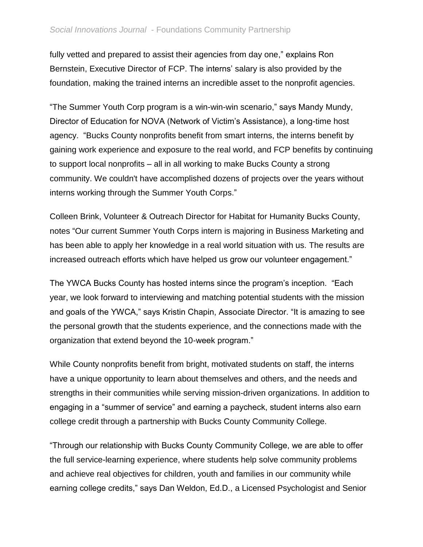fully vetted and prepared to assist their agencies from day one," explains Ron Bernstein, Executive Director of FCP. The interns' salary is also provided by the foundation, making the trained interns an incredible asset to the nonprofit agencies.

"The Summer Youth Corp program is a win-win-win scenario," says Mandy Mundy, Director of Education for NOVA (Network of Victim's Assistance), a long-time host agency. "Bucks County nonprofits benefit from smart interns, the interns benefit by gaining work experience and exposure to the real world, and FCP benefits by continuing to support local nonprofits – all in all working to make Bucks County a strong community. We couldn't have accomplished dozens of projects over the years without interns working through the Summer Youth Corps."

Colleen Brink, Volunteer & Outreach Director for Habitat for Humanity Bucks County, notes "Our current Summer Youth Corps intern is majoring in Business Marketing and has been able to apply her knowledge in a real world situation with us. The results are increased outreach efforts which have helped us grow our volunteer engagement."

The YWCA Bucks County has hosted interns since the program's inception. "Each year, we look forward to interviewing and matching potential students with the mission and goals of the YWCA," says Kristin Chapin, Associate Director. "It is amazing to see the personal growth that the students experience, and the connections made with the organization that extend beyond the 10-week program."

While County nonprofits benefit from bright, motivated students on staff, the interns have a unique opportunity to learn about themselves and others, and the needs and strengths in their communities while serving mission-driven organizations. In addition to engaging in a "summer of service" and earning a paycheck, student interns also earn college credit through a partnership with Bucks County Community College.

"Through our relationship with Bucks County Community College, we are able to offer the full service-learning experience, where students help solve community problems and achieve real objectives for children, youth and families in our community while earning college credits," says Dan Weldon, Ed.D., a Licensed Psychologist and Senior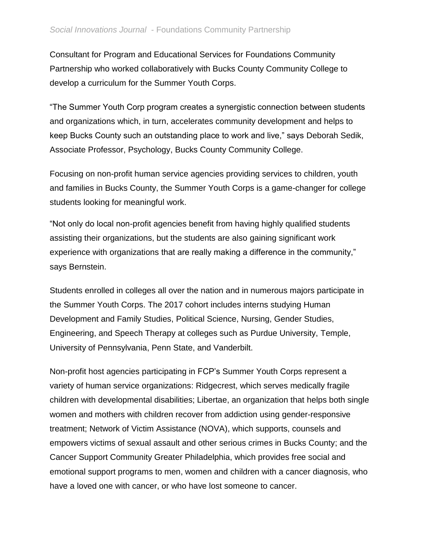Consultant for Program and Educational Services for Foundations Community Partnership who worked collaboratively with Bucks County Community College to develop a curriculum for the Summer Youth Corps.

"The Summer Youth Corp program creates a synergistic connection between students and organizations which, in turn, accelerates community development and helps to keep Bucks County such an outstanding place to work and live," says Deborah Sedik, Associate Professor, Psychology, Bucks County Community College.

Focusing on non-profit human service agencies providing services to children, youth and families in Bucks County, the Summer Youth Corps is a game-changer for college students looking for meaningful work.

"Not only do local non-profit agencies benefit from having highly qualified students assisting their organizations, but the students are also gaining significant work experience with organizations that are really making a difference in the community," says Bernstein.

Students enrolled in colleges all over the nation and in numerous majors participate in the Summer Youth Corps. The 2017 cohort includes interns studying Human Development and Family Studies, Political Science, Nursing, Gender Studies, Engineering, and Speech Therapy at colleges such as Purdue University, Temple, University of Pennsylvania, Penn State, and Vanderbilt.

Non-profit host agencies participating in FCP's Summer Youth Corps represent a variety of human service organizations: Ridgecrest, which serves medically fragile children with developmental disabilities; Libertae, an organization that helps both single women and mothers with children recover from addiction using gender-responsive treatment; Network of Victim Assistance (NOVA), which supports, counsels and empowers victims of sexual assault and other serious crimes in Bucks County; and the Cancer Support Community Greater Philadelphia, which provides free social and emotional support programs to men, women and children with a cancer diagnosis, who have a loved one with cancer, or who have lost someone to cancer.